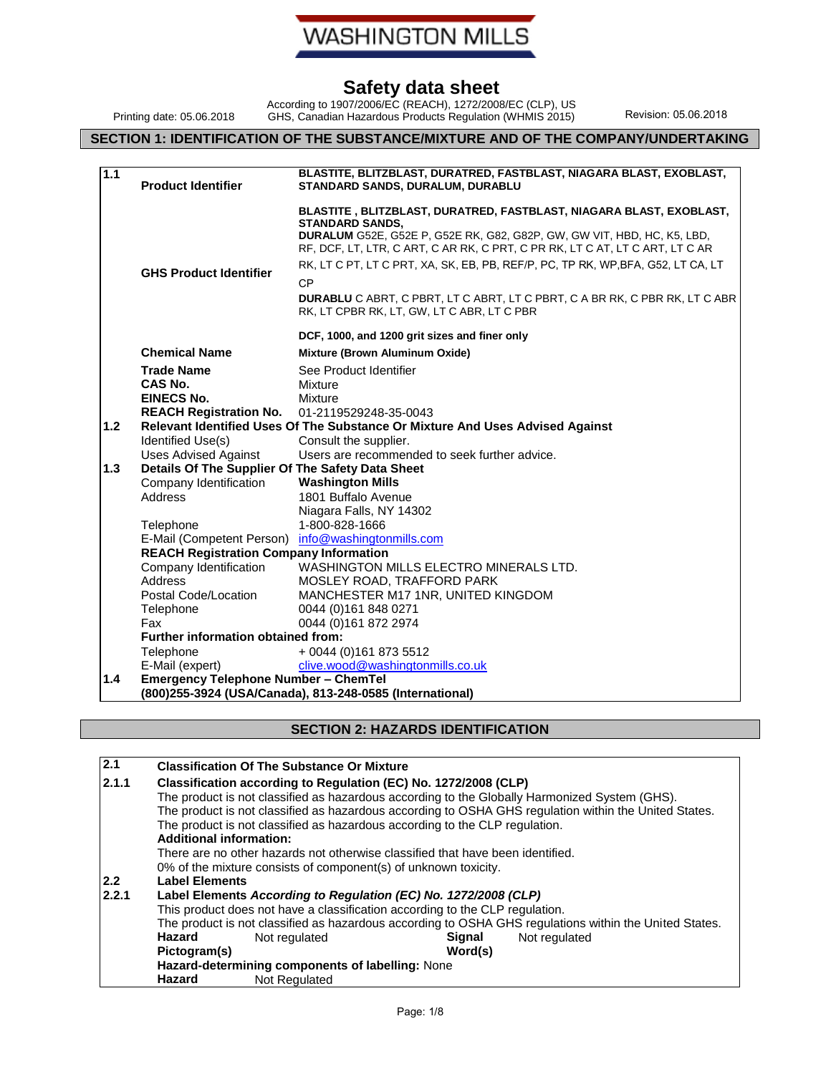**WASHINGTON MILLS** 

## **Safety data sheet**

Printing date: 05.06.2018

According to 1907/2006/EC (REACH), 1272/2008/EC (CLP), US GHS, Canadian Hazardous Products Regulation (WHMIS 2015) Revision: 05.06.2018

## **SECTION 1: IDENTIFICATION OF THE SUBSTANCE/MIXTURE AND OF THE COMPANY/UNDERTAKING**

| 1.1              | <b>Product Identifier</b>                                                     | BLASTITE, BLITZBLAST, DURATRED, FASTBLAST, NIAGARA BLAST, EXOBLAST,<br>STANDARD SANDS, DURALUM, DURABLU                                                                                                                                                                                                                                                                                                                                                                                |  |  |  |
|------------------|-------------------------------------------------------------------------------|----------------------------------------------------------------------------------------------------------------------------------------------------------------------------------------------------------------------------------------------------------------------------------------------------------------------------------------------------------------------------------------------------------------------------------------------------------------------------------------|--|--|--|
|                  | <b>GHS Product Identifier</b>                                                 | BLASTITE, BLITZBLAST, DURATRED, FASTBLAST, NIAGARA BLAST, EXOBLAST,<br><b>STANDARD SANDS,</b><br>DURALUM G52E, G52E P, G52E RK, G82, G82P, GW, GW VIT, HBD, HC, K5, LBD,<br>RF, DCF, LT, LTR, C ART, C AR RK, C PRT, C PR RK, LT C AT, LT C ART, LT C AR<br>RK, LT C PT, LT C PRT, XA, SK, EB, PB, REF/P, PC, TP RK, WP, BFA, G52, LT CA, LT<br><b>CP</b><br>DURABLU C ABRT, C PBRT, LT C ABRT, LT C PBRT, C A BR RK, C PBR RK, LT C ABR<br>RK, LT CPBR RK, LT, GW, LT C ABR, LT C PBR |  |  |  |
|                  |                                                                               | DCF, 1000, and 1200 grit sizes and finer only                                                                                                                                                                                                                                                                                                                                                                                                                                          |  |  |  |
|                  | <b>Chemical Name</b>                                                          | Mixture (Brown Aluminum Oxide)                                                                                                                                                                                                                                                                                                                                                                                                                                                         |  |  |  |
|                  | <b>Trade Name</b>                                                             | See Product Identifier                                                                                                                                                                                                                                                                                                                                                                                                                                                                 |  |  |  |
|                  | CAS No.                                                                       | Mixture                                                                                                                                                                                                                                                                                                                                                                                                                                                                                |  |  |  |
|                  | <b>EINECS No.</b>                                                             | Mixture                                                                                                                                                                                                                                                                                                                                                                                                                                                                                |  |  |  |
|                  | <b>REACH Registration No.</b>                                                 | 01-2119529248-35-0043                                                                                                                                                                                                                                                                                                                                                                                                                                                                  |  |  |  |
| 1.2 <sub>2</sub> | Relevant Identified Uses Of The Substance Or Mixture And Uses Advised Against |                                                                                                                                                                                                                                                                                                                                                                                                                                                                                        |  |  |  |
|                  | Identified Use(s)                                                             | Consult the supplier.                                                                                                                                                                                                                                                                                                                                                                                                                                                                  |  |  |  |
|                  | <b>Uses Advised Against</b>                                                   | Users are recommended to seek further advice.                                                                                                                                                                                                                                                                                                                                                                                                                                          |  |  |  |
| 1.3              | Details Of The Supplier Of The Safety Data Sheet                              |                                                                                                                                                                                                                                                                                                                                                                                                                                                                                        |  |  |  |
|                  | Company Identification<br>Address                                             | <b>Washington Mills</b><br>1801 Buffalo Avenue                                                                                                                                                                                                                                                                                                                                                                                                                                         |  |  |  |
|                  |                                                                               | Niagara Falls, NY 14302                                                                                                                                                                                                                                                                                                                                                                                                                                                                |  |  |  |
|                  | Telephone                                                                     | 1-800-828-1666                                                                                                                                                                                                                                                                                                                                                                                                                                                                         |  |  |  |
|                  | E-Mail (Competent Person)                                                     | info@washingtonmills.com                                                                                                                                                                                                                                                                                                                                                                                                                                                               |  |  |  |
|                  | <b>REACH Registration Company Information</b>                                 |                                                                                                                                                                                                                                                                                                                                                                                                                                                                                        |  |  |  |
|                  | Company Identification                                                        | WASHINGTON MILLS ELECTRO MINERALS LTD.                                                                                                                                                                                                                                                                                                                                                                                                                                                 |  |  |  |
|                  | Address                                                                       | MOSLEY ROAD, TRAFFORD PARK                                                                                                                                                                                                                                                                                                                                                                                                                                                             |  |  |  |
|                  | Postal Code/Location                                                          | MANCHESTER M17 1NR, UNITED KINGDOM                                                                                                                                                                                                                                                                                                                                                                                                                                                     |  |  |  |
|                  | Telephone                                                                     | 0044 (0)161 848 0271                                                                                                                                                                                                                                                                                                                                                                                                                                                                   |  |  |  |
|                  | Fax                                                                           | 0044 (0)161 872 2974                                                                                                                                                                                                                                                                                                                                                                                                                                                                   |  |  |  |
|                  | Further information obtained from:                                            |                                                                                                                                                                                                                                                                                                                                                                                                                                                                                        |  |  |  |
|                  | Telephone                                                                     | + 0044 (0)161 873 5512                                                                                                                                                                                                                                                                                                                                                                                                                                                                 |  |  |  |
|                  | E-Mail (expert)                                                               | clive.wood@washingtonmills.co.uk                                                                                                                                                                                                                                                                                                                                                                                                                                                       |  |  |  |
| 1.4              | <b>Emergency Telephone Number - ChemTel</b>                                   |                                                                                                                                                                                                                                                                                                                                                                                                                                                                                        |  |  |  |
|                  |                                                                               | (800)255-3924 (USA/Canada), 813-248-0585 (International)                                                                                                                                                                                                                                                                                                                                                                                                                               |  |  |  |

#### **SECTION 2: HAZARDS IDENTIFICATION**

| 2.1           |                                                                                | <b>Classification Of The Substance Or Mixture</b>                           |               |                                                                                                        |  |  |  |
|---------------|--------------------------------------------------------------------------------|-----------------------------------------------------------------------------|---------------|--------------------------------------------------------------------------------------------------------|--|--|--|
| 2.1.1         |                                                                                | Classification according to Regulation (EC) No. 1272/2008 (CLP)             |               |                                                                                                        |  |  |  |
|               |                                                                                |                                                                             |               | The product is not classified as hazardous according to the Globally Harmonized System (GHS).          |  |  |  |
|               |                                                                                |                                                                             |               | The product is not classified as hazardous according to OSHA GHS regulation within the United States.  |  |  |  |
|               |                                                                                | The product is not classified as hazardous according to the CLP regulation. |               |                                                                                                        |  |  |  |
|               | <b>Additional information:</b>                                                 |                                                                             |               |                                                                                                        |  |  |  |
|               | There are no other hazards not otherwise classified that have been identified. |                                                                             |               |                                                                                                        |  |  |  |
|               |                                                                                | 0% of the mixture consists of component(s) of unknown toxicity.             |               |                                                                                                        |  |  |  |
| $2.2^{\circ}$ | <b>Label Elements</b>                                                          |                                                                             |               |                                                                                                        |  |  |  |
| 2.2.1         | Label Elements According to Regulation (EC) No. 1272/2008 (CLP)                |                                                                             |               |                                                                                                        |  |  |  |
|               | This product does not have a classification according to the CLP regulation.   |                                                                             |               |                                                                                                        |  |  |  |
|               |                                                                                |                                                                             |               | The product is not classified as hazardous according to OSHA GHS regulations within the United States. |  |  |  |
|               | Hazard                                                                         | Not regulated                                                               | <b>Signal</b> | Not regulated                                                                                          |  |  |  |
|               | Word(s)<br>Pictogram(s)                                                        |                                                                             |               |                                                                                                        |  |  |  |
|               |                                                                                | Hazard-determining components of labelling: None                            |               |                                                                                                        |  |  |  |
|               | Hazard                                                                         | Not Regulated                                                               |               |                                                                                                        |  |  |  |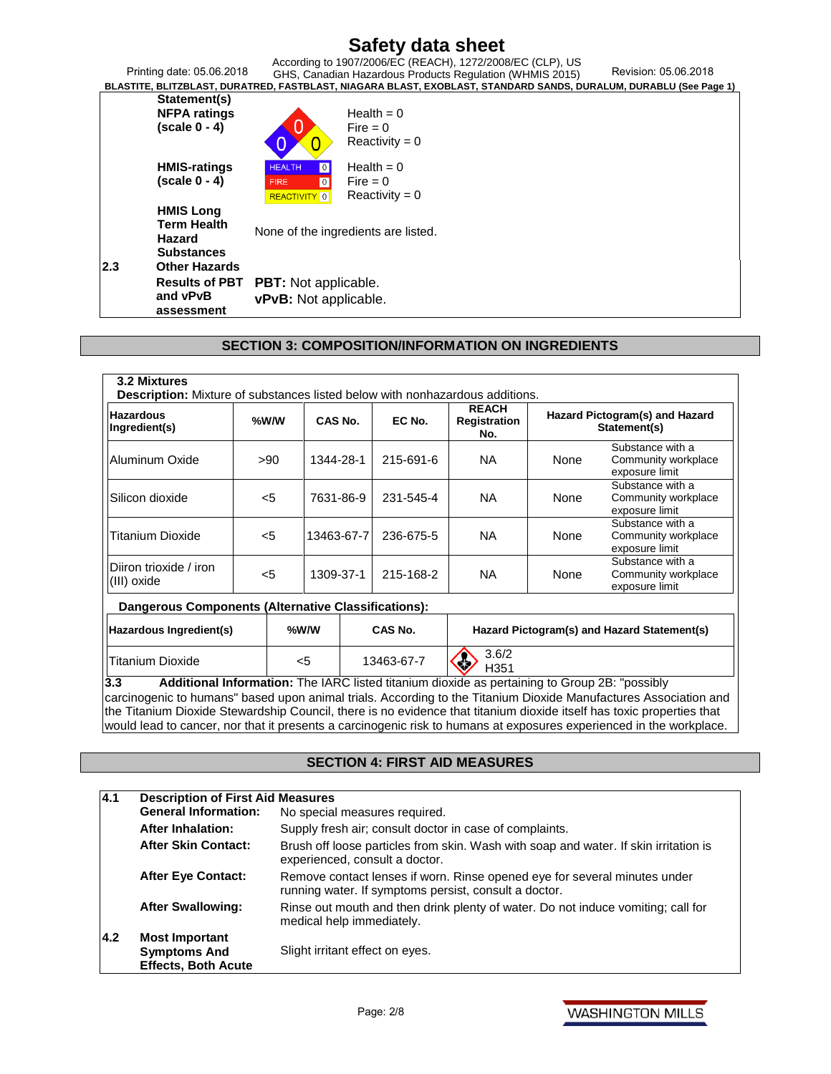|            | Printing date: 05.06.2018                                                                     |                                                                                     | According to 1907/2006/EC (REACH), 1272/2008/EC (CLP), US<br>Revision: 05.06.2018<br>GHS, Canadian Hazardous Products Regulation (WHMIS 2015)<br>BLASTITE, BLITZBLAST, DURATRED, FASTBLAST, NIAGARA BLAST, EXOBLAST, STANDARD SANDS, DURALUM, DURABLU (See Page 1) |  |
|------------|-----------------------------------------------------------------------------------------------|-------------------------------------------------------------------------------------|--------------------------------------------------------------------------------------------------------------------------------------------------------------------------------------------------------------------------------------------------------------------|--|
|            | Statement(s)<br><b>NFPA ratings</b><br>$(scale 0 - 4)$                                        |                                                                                     | Health = $0$<br>Fire $= 0$<br>$Reactivity = 0$                                                                                                                                                                                                                     |  |
|            | <b>HMIS-ratings</b><br>$(scale 0 - 4)$                                                        | <b>HEALTH</b><br>0<br>$\overline{\mathbf{0}}$<br><b>FIRE</b><br><b>REACTIVITY</b> 0 | Health = $0$<br>Fire $= 0$<br>$Reactivity = 0$                                                                                                                                                                                                                     |  |
| <b>2.3</b> | <b>HMIS Long</b><br><b>Term Health</b><br>Hazard<br><b>Substances</b><br><b>Other Hazards</b> | None of the ingredients are listed.                                                 |                                                                                                                                                                                                                                                                    |  |
|            | <b>Results of PBT</b><br>and vPvB<br>assessment                                               | <b>PBT:</b> Not applicable.<br>vPvB: Not applicable.                                |                                                                                                                                                                                                                                                                    |  |

#### **SECTION 3: COMPOSITION/INFORMATION ON INGREDIENTS**

| <b>Hazardous</b><br>Ingredient(s)                   | %W/W  | CAS No.    |           | EC No.     | <b>REACH</b><br><b>Registration</b><br>No. |                                                           | Hazard Pictogram(s) and Hazard<br>Statement(s)            |
|-----------------------------------------------------|-------|------------|-----------|------------|--------------------------------------------|-----------------------------------------------------------|-----------------------------------------------------------|
| Aluminum Oxide                                      | >90   | 1344-28-1  |           | 215-691-6  | <b>NA</b>                                  | None                                                      | Substance with a<br>Community workplace<br>exposure limit |
| Silicon dioxide<br>$<$ 5<br>7631-86-9               |       |            | 231-545-4 | <b>NA</b>  | None                                       | Substance with a<br>Community workplace<br>exposure limit |                                                           |
| Titanium Dioxide                                    | $<$ 5 | 13463-67-7 |           | 236-675-5  | <b>NA</b>                                  | None                                                      | Substance with a<br>Community workplace<br>exposure limit |
| IDiiron trioxide / iron<br>$\vert$ (III) oxide      |       | 1309-37-1  |           | 215-168-2  | NA.                                        | None                                                      | Substance with a<br>Community workplace<br>exposure limit |
| Dangerous Components (Alternative Classifications): |       |            |           |            |                                            |                                                           |                                                           |
| Hazardous Ingredient(s)                             |       | %W/W       |           | CAS No.    |                                            |                                                           | Hazard Pictogram(s) and Hazard Statement(s)               |
| <b>Titanium Dioxide</b>                             |       | <5         |           | 13463-67-7 | 3.6/2<br>H351                              |                                                           |                                                           |

**3.3 Additional Information:** The IARC listed titanium dioxide as pertaining to Group 2B: "possibly carcinogenic to humans" based upon animal trials. According to the Titanium Dioxide Manufactures Association and the Titanium Dioxide Stewardship Council, there is no evidence that titanium dioxide itself has toxic properties that would lead to cancer, nor that it presents a carcinogenic risk to humans at exposures experienced in the workplace.

#### **SECTION 4: FIRST AID MEASURES**

| 4.1                                                   | <b>Description of First Aid Measures</b>                                   |                                                                                                                                    |  |  |  |  |
|-------------------------------------------------------|----------------------------------------------------------------------------|------------------------------------------------------------------------------------------------------------------------------------|--|--|--|--|
|                                                       | <b>General Information:</b>                                                | No special measures required.                                                                                                      |  |  |  |  |
|                                                       | After Inhalation:                                                          | Supply fresh air; consult doctor in case of complaints.                                                                            |  |  |  |  |
|                                                       | <b>After Skin Contact:</b>                                                 | Brush off loose particles from skin. Wash with soap and water. If skin irritation is<br>experienced, consult a doctor.             |  |  |  |  |
|                                                       | <b>After Eye Contact:</b>                                                  | Remove contact lenses if worn. Rinse opened eye for several minutes under<br>running water. If symptoms persist, consult a doctor. |  |  |  |  |
| <b>After Swallowing:</b><br>medical help immediately. |                                                                            | Rinse out mouth and then drink plenty of water. Do not induce vomiting; call for                                                   |  |  |  |  |
| 4.2                                                   | <b>Most Important</b><br><b>Symptoms And</b><br><b>Effects, Both Acute</b> | Slight irritant effect on eyes.                                                                                                    |  |  |  |  |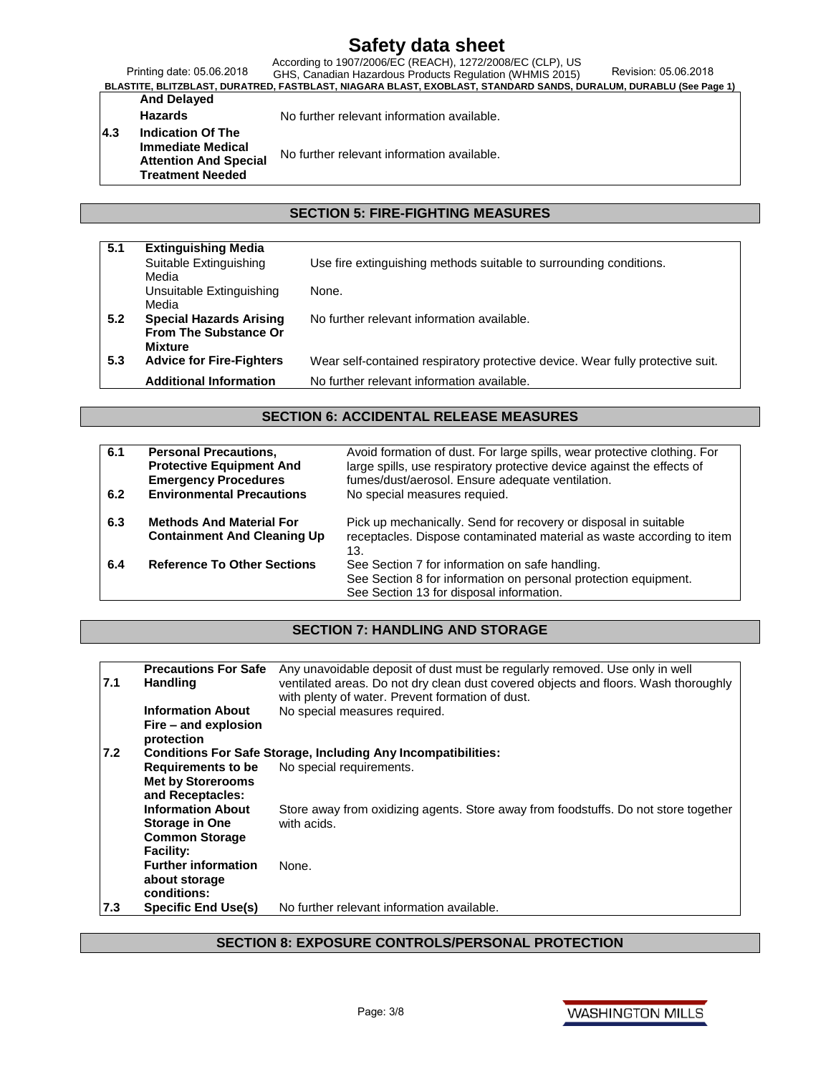Printing date: 05.06.2018 According to 1907/2006/EC (REACH), 1272/2008/EC (CLP), US<br>Printing date: 05.06.2018 GHS, Canadian Hazardous Products Regulation (WHMIS 2015) Revision: 05.06.2018<br>BLASTITE, BLITZBLAST, DURATRED, FASTBLAST, NIAGARA BLAST

# **And Delayed**

Hazards **No further relevant information available.** 

#### **4.3 Indication Of The Immediate Medical Attention And Special Treatment Needed** No further relevant information available.

#### **SECTION 5: FIRE-FIGHTING MEASURES**

| 5.1 | <b>Extinguishing Media</b>      |                                                                                |
|-----|---------------------------------|--------------------------------------------------------------------------------|
|     | Suitable Extinguishing          | Use fire extinguishing methods suitable to surrounding conditions.             |
|     | Media                           |                                                                                |
|     | Unsuitable Extinguishing        | None.                                                                          |
|     | Media                           |                                                                                |
| 5.2 | <b>Special Hazards Arising</b>  | No further relevant information available.                                     |
|     | <b>From The Substance Or</b>    |                                                                                |
|     | <b>Mixture</b>                  |                                                                                |
| 5.3 | <b>Advice for Fire-Fighters</b> | Wear self-contained respiratory protective device. Wear fully protective suit. |
|     | <b>Additional Information</b>   | No further relevant information available.                                     |

#### **SECTION 6: ACCIDENTAL RELEASE MEASURES**

| 6.1<br>6.2 | <b>Personal Precautions,</b><br><b>Protective Equipment And</b><br><b>Emergency Procedures</b><br><b>Environmental Precautions</b> | Avoid formation of dust. For large spills, wear protective clothing. For<br>large spills, use respiratory protective device against the effects of<br>fumes/dust/aerosol. Ensure adequate ventilation.<br>No special measures requied. |
|------------|------------------------------------------------------------------------------------------------------------------------------------|----------------------------------------------------------------------------------------------------------------------------------------------------------------------------------------------------------------------------------------|
| 6.3        | <b>Methods And Material For</b><br><b>Containment And Cleaning Up</b>                                                              | Pick up mechanically. Send for recovery or disposal in suitable<br>receptacles. Dispose contaminated material as waste according to item<br>13.                                                                                        |
| 6.4        | <b>Reference To Other Sections</b>                                                                                                 | See Section 7 for information on safe handling.<br>See Section 8 for information on personal protection equipment.<br>See Section 13 for disposal information.                                                                         |

### **SECTION 7: HANDLING AND STORAGE**

| 7.1 | <b>Precautions For Safe</b><br>Handling        | Any unavoidable deposit of dust must be regularly removed. Use only in well<br>ventilated areas. Do not dry clean dust covered objects and floors. Wash thoroughly<br>with plenty of water. Prevent formation of dust. |
|-----|------------------------------------------------|------------------------------------------------------------------------------------------------------------------------------------------------------------------------------------------------------------------------|
|     | <b>Information About</b>                       | No special measures required.                                                                                                                                                                                          |
|     | Fire – and explosion<br>protection             |                                                                                                                                                                                                                        |
| 7.2 |                                                | <b>Conditions For Safe Storage, Including Any Incompatibilities:</b>                                                                                                                                                   |
|     | Requirements to be                             | No special requirements.                                                                                                                                                                                               |
|     | <b>Met by Storerooms</b>                       |                                                                                                                                                                                                                        |
|     | and Receptacles:                               |                                                                                                                                                                                                                        |
|     | <b>Information About</b>                       | Store away from oxidizing agents. Store away from foodstuffs. Do not store together                                                                                                                                    |
|     | <b>Storage in One</b>                          | with acids.                                                                                                                                                                                                            |
|     | <b>Common Storage</b>                          |                                                                                                                                                                                                                        |
|     | <b>Facility:</b><br><b>Further information</b> | None.                                                                                                                                                                                                                  |
|     | about storage                                  |                                                                                                                                                                                                                        |
|     | conditions:                                    |                                                                                                                                                                                                                        |
| 7.3 | <b>Specific End Use(s)</b>                     | No further relevant information available.                                                                                                                                                                             |

#### **SECTION 8: EXPOSURE CONTROLS/PERSONAL PROTECTION**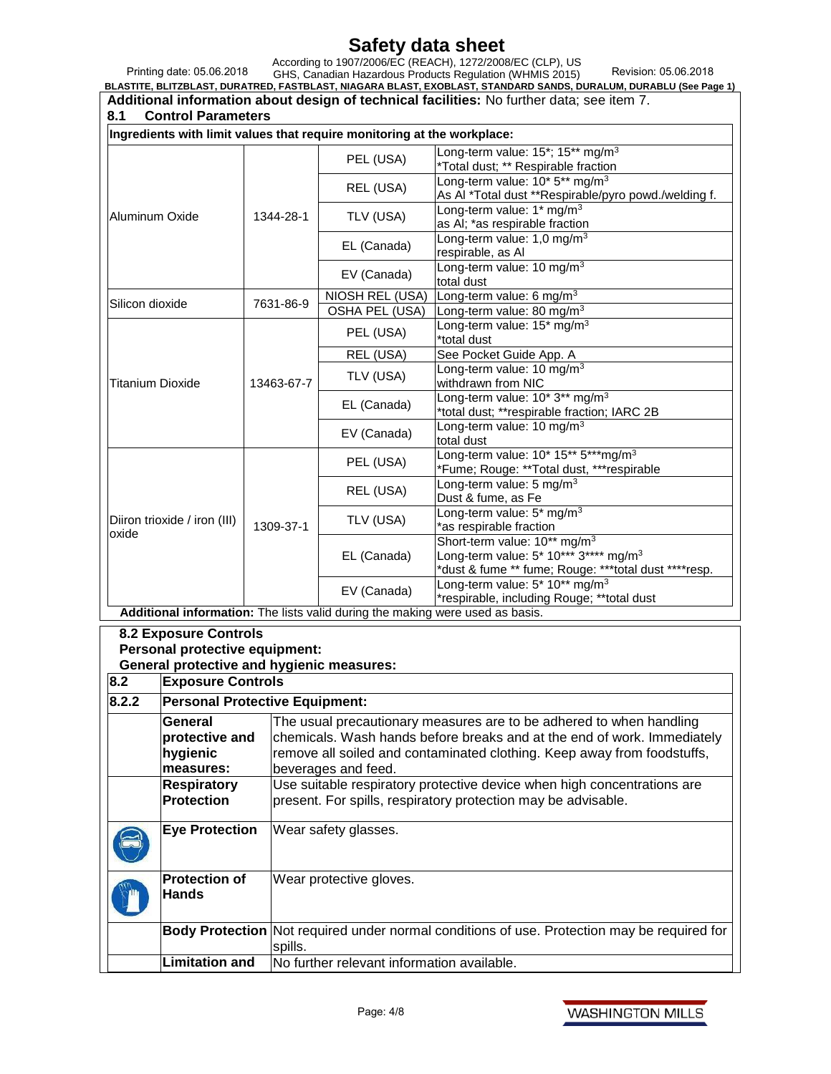Printing date: 05.06.2018 According to 1907/2006/EC (REACH), 1272/2008/EC (CLP), US<br>Printing date: 05.06.2018 GHS, Canadian Hazardous Products Regulation (WHMIS 2015) Revision: 05.06.2018<br>BLASTITE, BLITZBLAST, DURATRED, FASTBLAST, NIAGARA BLAST **Additional information about design of technical facilities:** No further data; see item 7.

| 8.1                                  | <b>Control Parameters</b>                                               |            |                                                                               |                                                                                             |  |  |
|--------------------------------------|-------------------------------------------------------------------------|------------|-------------------------------------------------------------------------------|---------------------------------------------------------------------------------------------|--|--|
|                                      | Ingredients with limit values that require monitoring at the workplace: |            |                                                                               |                                                                                             |  |  |
|                                      |                                                                         |            | PEL (USA)                                                                     | Long-term value: 15*; 15** mg/m <sup>3</sup>                                                |  |  |
|                                      |                                                                         |            |                                                                               | *Total dust; ** Respirable fraction                                                         |  |  |
|                                      |                                                                         |            | REL (USA)                                                                     | Long-term value: 10* 5** mg/m <sup>3</sup>                                                  |  |  |
|                                      |                                                                         |            |                                                                               | As Al *Total dust **Respirable/pyro powd./welding f.                                        |  |  |
| Aluminum Oxide                       |                                                                         | 1344-28-1  | TLV (USA)                                                                     | Long-term value: 1* mg/m <sup>3</sup>                                                       |  |  |
|                                      |                                                                         |            |                                                                               | as AI; *as respirable fraction                                                              |  |  |
|                                      |                                                                         |            | EL (Canada)                                                                   | Long-term value: 1,0 mg/m <sup>3</sup><br>respirable, as Al                                 |  |  |
|                                      |                                                                         |            |                                                                               | Long-term value: 10 mg/m <sup>3</sup>                                                       |  |  |
|                                      |                                                                         |            | EV (Canada)                                                                   | total dust                                                                                  |  |  |
|                                      |                                                                         |            | NIOSH REL (USA)                                                               | Long-term value: 6 mg/m <sup>3</sup>                                                        |  |  |
| Silicon dioxide                      |                                                                         | 7631-86-9  | <b>OSHA PEL (USA)</b>                                                         | Long-term value: 80 mg/m <sup>3</sup>                                                       |  |  |
|                                      |                                                                         |            | PEL (USA)                                                                     | Long-term value: 15* mg/m <sup>3</sup>                                                      |  |  |
|                                      |                                                                         |            |                                                                               | *total dust                                                                                 |  |  |
|                                      |                                                                         |            | REL (USA)                                                                     | See Pocket Guide App. A                                                                     |  |  |
|                                      |                                                                         |            | TLV (USA)                                                                     | Long-term value: 10 mg/m <sup>3</sup>                                                       |  |  |
| <b>Titanium Dioxide</b>              |                                                                         | 13463-67-7 |                                                                               | withdrawn from NIC<br>Long-term value: 10* 3** mg/m <sup>3</sup>                            |  |  |
|                                      |                                                                         |            | EL (Canada)                                                                   | *total dust; **respirable fraction; IARC 2B                                                 |  |  |
|                                      |                                                                         |            |                                                                               | Long-term value: 10 mg/m <sup>3</sup>                                                       |  |  |
|                                      |                                                                         |            | EV (Canada)                                                                   | total dust                                                                                  |  |  |
|                                      |                                                                         |            |                                                                               | Long-term value: 10* 15** 5***mg/m <sup>3</sup>                                             |  |  |
|                                      |                                                                         |            | PEL (USA)                                                                     | *Fume; Rouge: **Total dust, ***respirable                                                   |  |  |
|                                      |                                                                         |            | REL (USA)                                                                     | Long-term value: 5 mg/m <sup>3</sup>                                                        |  |  |
|                                      |                                                                         |            |                                                                               | Dust & fume, as Fe                                                                          |  |  |
|                                      | Diiron trioxide / iron (III)                                            | 1309-37-1  | TLV (USA)                                                                     | Long-term value: 5* mg/m <sup>3</sup><br>*as respirable fraction                            |  |  |
| oxide                                |                                                                         |            |                                                                               | Short-term value: 10 <sup>**</sup> mg/m <sup>3</sup>                                        |  |  |
|                                      |                                                                         |            | EL (Canada)                                                                   | Long-term value: 5* 10*** 3**** mg/m <sup>3</sup>                                           |  |  |
|                                      |                                                                         |            |                                                                               | *dust & fume ** fume; Rouge: ***total dust ****resp.                                        |  |  |
|                                      |                                                                         |            | EV (Canada)                                                                   | Long-term value: 5* 10** mg/m <sup>3</sup>                                                  |  |  |
|                                      |                                                                         |            |                                                                               | *respirable, including Rouge; **total dust                                                  |  |  |
|                                      |                                                                         |            | Additional information: The lists valid during the making were used as basis. |                                                                                             |  |  |
|                                      | <b>8.2 Exposure Controls</b>                                            |            |                                                                               |                                                                                             |  |  |
|                                      | Personal protective equipment:                                          |            |                                                                               |                                                                                             |  |  |
|                                      | <b>General protective and hygienic measures:</b>                        |            |                                                                               |                                                                                             |  |  |
| 8.2                                  | <b>Exposure Controls</b>                                                |            |                                                                               |                                                                                             |  |  |
| 8.2.2                                | <b>Personal Protective Equipment:</b>                                   |            |                                                                               |                                                                                             |  |  |
|                                      | General                                                                 |            |                                                                               | The usual precautionary measures are to be adhered to when handling                         |  |  |
|                                      | protective and                                                          |            | chemicals. Wash hands before breaks and at the end of work. Immediately       |                                                                                             |  |  |
|                                      | hygienic                                                                |            |                                                                               | remove all soiled and contaminated clothing. Keep away from foodstuffs,                     |  |  |
|                                      | measures:                                                               |            | beverages and feed.                                                           |                                                                                             |  |  |
| <b>Respiratory</b>                   |                                                                         |            |                                                                               | Use suitable respiratory protective device when high concentrations are                     |  |  |
| <b>Protection</b>                    |                                                                         |            |                                                                               | present. For spills, respiratory protection may be advisable.                               |  |  |
|                                      |                                                                         |            |                                                                               |                                                                                             |  |  |
|                                      | <b>Eye Protection</b>                                                   |            | Wear safety glasses.                                                          |                                                                                             |  |  |
|                                      |                                                                         |            |                                                                               |                                                                                             |  |  |
| <b>Protection of</b><br><b>Hands</b> |                                                                         |            | Wear protective gloves.                                                       |                                                                                             |  |  |
|                                      |                                                                         |            |                                                                               |                                                                                             |  |  |
|                                      |                                                                         |            |                                                                               |                                                                                             |  |  |
|                                      |                                                                         |            |                                                                               | Body Protection Not required under normal conditions of use. Protection may be required for |  |  |
|                                      |                                                                         | spills.    |                                                                               |                                                                                             |  |  |
|                                      | <b>Limitation and</b>                                                   |            | No further relevant information available.                                    |                                                                                             |  |  |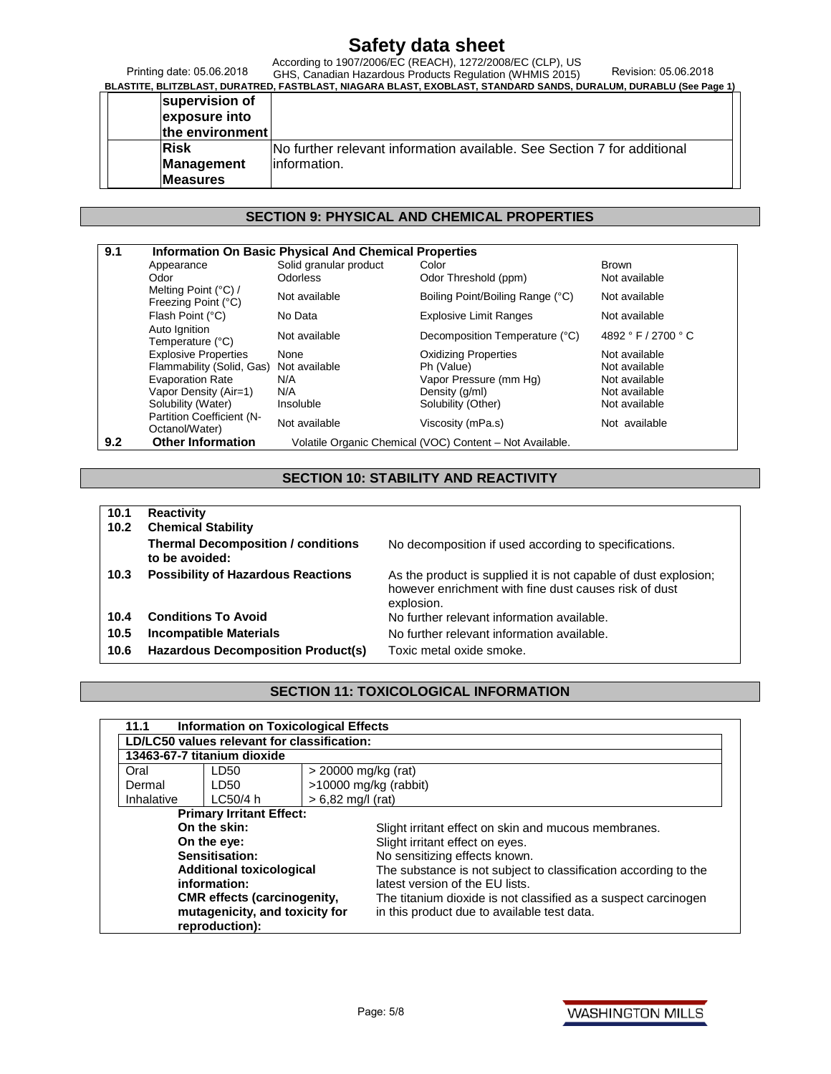Printing date: 05.06.2018

According to 1907/2006/EC (REACH), 1272/2008/EC (CLP), US<br>Printing date: 05.06.2018 GHS, Canadian Hazardous Products Regulation (WHMIS 2015) Revision: 05.06.2018<br>BLASTITE, BLITZBLAST, DURATRED, FASTBLAST, NIAGARA BLAST **supervision of exposure into the environment Risk Management Measures** No further relevant information available. See Section 7 for additional information.

#### **SECTION 9: PHYSICAL AND CHEMICAL PROPERTIES**

|     | Appearance                                  | Solid granular product                                   | Color                            | <b>Brown</b>        |  |
|-----|---------------------------------------------|----------------------------------------------------------|----------------------------------|---------------------|--|
|     | Odor                                        | <b>Odorless</b>                                          | Odor Threshold (ppm)             | Not available       |  |
|     | Melting Point (°C) /<br>Freezing Point (°C) | Not available                                            | Boiling Point/Boiling Range (°C) | Not available       |  |
|     | Flash Point (°C)                            | No Data                                                  | <b>Explosive Limit Ranges</b>    | Not available       |  |
|     | Auto Ignition<br>Temperature (°C)           | Not available                                            | Decomposition Temperature (°C)   | 4892 ° F / 2700 ° C |  |
|     | <b>Explosive Properties</b>                 | None                                                     | <b>Oxidizing Properties</b>      | Not available       |  |
|     | Flammability (Solid, Gas)                   | Not available                                            | Ph (Value)                       | Not available       |  |
|     | <b>Evaporation Rate</b>                     | N/A                                                      | Vapor Pressure (mm Hg)           | Not available       |  |
|     | Vapor Density (Air=1)                       | N/A                                                      | Density (q/ml)                   | Not available       |  |
|     | Solubility (Water)                          | Insoluble                                                | Solubility (Other)               | Not available       |  |
|     | Partition Coefficient (N-<br>Octanol/Water) | Not available                                            | Viscosity (mPa.s)                | Not available       |  |
| 9.2 | <b>Other Information</b>                    | Volatile Organic Chemical (VOC) Content - Not Available. |                                  |                     |  |

#### **SECTION 10: STABILITY AND REACTIVITY**

| 10.1<br>10.2 | <b>Reactivity</b><br><b>Chemical Stability</b>              |                                                                                                                                        |
|--------------|-------------------------------------------------------------|----------------------------------------------------------------------------------------------------------------------------------------|
|              | <b>Thermal Decomposition / conditions</b><br>to be avoided: | No decomposition if used according to specifications.                                                                                  |
| 10.3         | <b>Possibility of Hazardous Reactions</b>                   | As the product is supplied it is not capable of dust explosion;<br>however enrichment with fine dust causes risk of dust<br>explosion. |
| 10.4         | <b>Conditions To Avoid</b>                                  | No further relevant information available.                                                                                             |
| 10.5         | <b>Incompatible Materials</b>                               | No further relevant information available.                                                                                             |
| 10.6         | Hazardous Decomposition Product(s)                          | Toxic metal oxide smoke.                                                                                                               |

#### **SECTION 11: TOXICOLOGICAL INFORMATION**

| 11.1                                  | <b>Information on Toxicological Effects</b>   |  |                                                                 |  |  |  |
|---------------------------------------|-----------------------------------------------|--|-----------------------------------------------------------------|--|--|--|
|                                       | LD/LC50 values relevant for classification:   |  |                                                                 |  |  |  |
| 13463-67-7 titanium dioxide           |                                               |  |                                                                 |  |  |  |
| $>$ 20000 mg/kg (rat)<br>Oral<br>LD50 |                                               |  |                                                                 |  |  |  |
| Dermal                                | LD50                                          |  | $>10000$ mg/kg (rabbit)                                         |  |  |  |
|                                       | $> 6,82$ mg/l (rat)<br>Inhalative<br>LC50/4 h |  |                                                                 |  |  |  |
|                                       | <b>Primary Irritant Effect:</b>               |  |                                                                 |  |  |  |
| On the skin:                          |                                               |  | Slight irritant effect on skin and mucous membranes.            |  |  |  |
| On the eye:                           |                                               |  | Slight irritant effect on eyes.                                 |  |  |  |
|                                       | Sensitisation:                                |  | No sensitizing effects known.                                   |  |  |  |
|                                       | <b>Additional toxicological</b>               |  | The substance is not subject to classification according to the |  |  |  |
|                                       | information:                                  |  | latest version of the EU lists.                                 |  |  |  |
| <b>CMR</b> effects (carcinogenity,    |                                               |  | The titanium dioxide is not classified as a suspect carcinogen  |  |  |  |
| mutagenicity, and toxicity for        |                                               |  | in this product due to available test data.                     |  |  |  |
|                                       | reproduction):                                |  |                                                                 |  |  |  |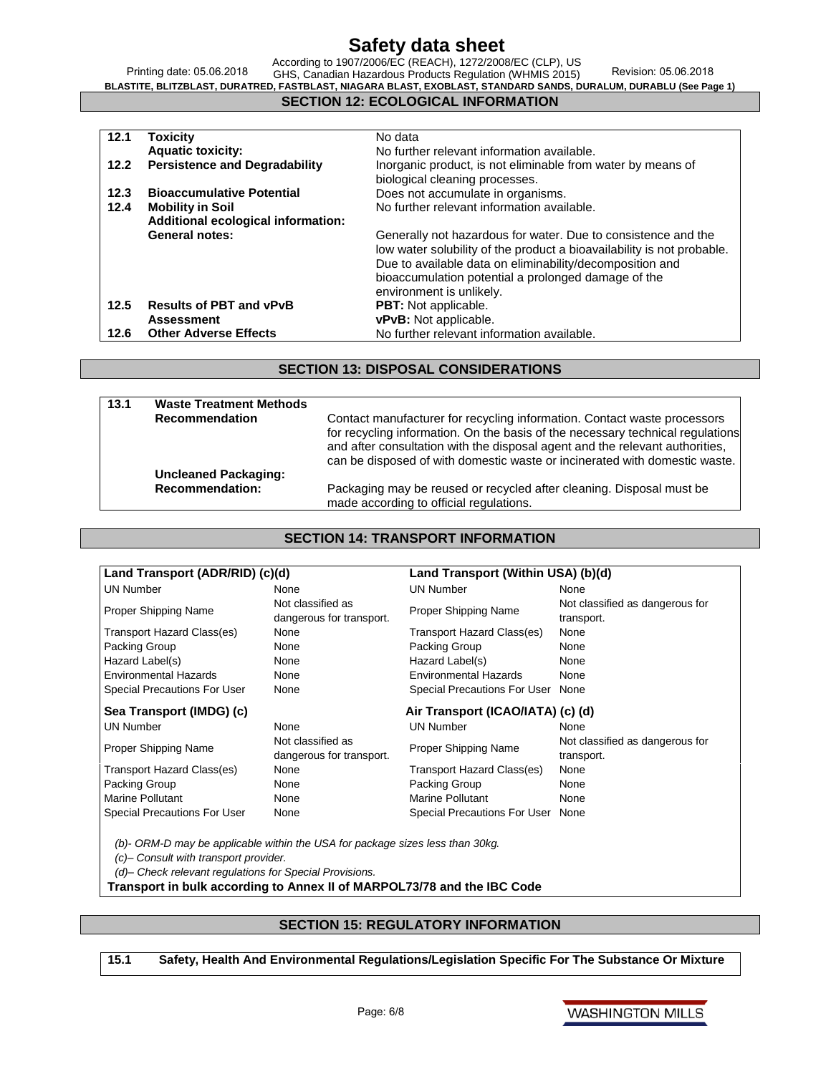Printing date: 05.06.2018 According to 1907/2006/EC (REACH), 1272/2008/EC (CLP), US GHS, Canadian Hazardous Products Regulation (WHMIS 2015) Revision: 05.06.2018 **BLASTITE, BLITZBLAST, DURATRED, FASTBLAST, NIAGARA BLAST, EXOBLAST, STANDARD SANDS, DURALUM, DURABLU (See Page 1)**

#### **SECTION 12: ECOLOGICAL INFORMATION**

| 12.1 | <b>Toxicity</b>                      | No data                                                                |
|------|--------------------------------------|------------------------------------------------------------------------|
|      | <b>Aquatic toxicity:</b>             | No further relevant information available.                             |
| 12.2 | <b>Persistence and Degradability</b> | Inorganic product, is not eliminable from water by means of            |
|      |                                      | biological cleaning processes.                                         |
| 12.3 | <b>Bioaccumulative Potential</b>     | Does not accumulate in organisms.                                      |
| 12.4 | <b>Mobility in Soil</b>              | No further relevant information available.                             |
|      | Additional ecological information:   |                                                                        |
|      | <b>General notes:</b>                | Generally not hazardous for water. Due to consistence and the          |
|      |                                      | low water solubility of the product a bioavailability is not probable. |
|      |                                      | Due to available data on eliminability/decomposition and               |
|      |                                      | bioaccumulation potential a prolonged damage of the                    |
|      |                                      | environment is unlikely.                                               |
| 12.5 | <b>Results of PBT and vPvB</b>       | <b>PBT:</b> Not applicable.                                            |
|      | <b>Assessment</b>                    | vPvB: Not applicable.                                                  |
| 12.6 | <b>Other Adverse Effects</b>         | No further relevant information available.                             |

#### **SECTION 13: DISPOSAL CONSIDERATIONS**

| 13.1 | <b>Waste Treatment Methods</b> |                                                                                                                                                                                                                                                                                                                          |
|------|--------------------------------|--------------------------------------------------------------------------------------------------------------------------------------------------------------------------------------------------------------------------------------------------------------------------------------------------------------------------|
|      | <b>Recommendation</b>          | Contact manufacturer for recycling information. Contact waste processors<br>for recycling information. On the basis of the necessary technical regulations<br>and after consultation with the disposal agent and the relevant authorities,<br>can be disposed of with domestic waste or incinerated with domestic waste. |
|      | <b>Uncleaned Packaging:</b>    |                                                                                                                                                                                                                                                                                                                          |
|      | <b>Recommendation:</b>         | Packaging may be reused or recycled after cleaning. Disposal must be<br>made according to official regulations.                                                                                                                                                                                                          |

#### **SECTION 14: TRANSPORT INFORMATION**

| Land Transport (ADR/RID) (c)(d)     |                                               | Land Transport (Within USA) (b)(d) |                                               |
|-------------------------------------|-----------------------------------------------|------------------------------------|-----------------------------------------------|
| <b>UN Number</b>                    | None                                          | <b>UN Number</b>                   | None                                          |
| Proper Shipping Name                | Not classified as<br>dangerous for transport. | <b>Proper Shipping Name</b>        | Not classified as dangerous for<br>transport. |
| Transport Hazard Class(es)          | None                                          | Transport Hazard Class(es)         | None                                          |
| Packing Group                       | None                                          | Packing Group                      | None                                          |
| Hazard Label(s)                     | None                                          | Hazard Label(s)                    | None                                          |
| <b>Environmental Hazards</b>        | None                                          | Environmental Hazards              | None                                          |
| <b>Special Precautions For User</b> | None                                          | Special Precautions For User None  |                                               |
| Sea Transport (IMDG) (c)            |                                               | Air Transport (ICAO/IATA) (c) (d)  |                                               |
| <b>UN Number</b>                    | None                                          | <b>UN Number</b>                   | None                                          |
| Proper Shipping Name                | Not classified as<br>dangerous for transport. | Proper Shipping Name               | Not classified as dangerous for<br>transport. |
| Transport Hazard Class(es)          | None                                          | Transport Hazard Class(es)         | None                                          |
| Packing Group                       | None                                          | Packing Group                      | None                                          |
| <b>Marine Pollutant</b>             | None                                          | <b>Marine Pollutant</b>            | None                                          |
|                                     |                                               |                                    |                                               |

*(b)- ORM-D may be applicable within the USA for package sizes less than 30kg.* 

*(c)– Consult with transport provider.*

*(d)– Check relevant regulations for Special Provisions.*

**Transport in bulk according to Annex II of MARPOL73/78 and the IBC Code**

#### **SECTION 15: REGULATORY INFORMATION**

**15.1 Safety, Health And Environmental Regulations/Legislation Specific For The Substance Or Mixture**

**WASHINGTON MILLS**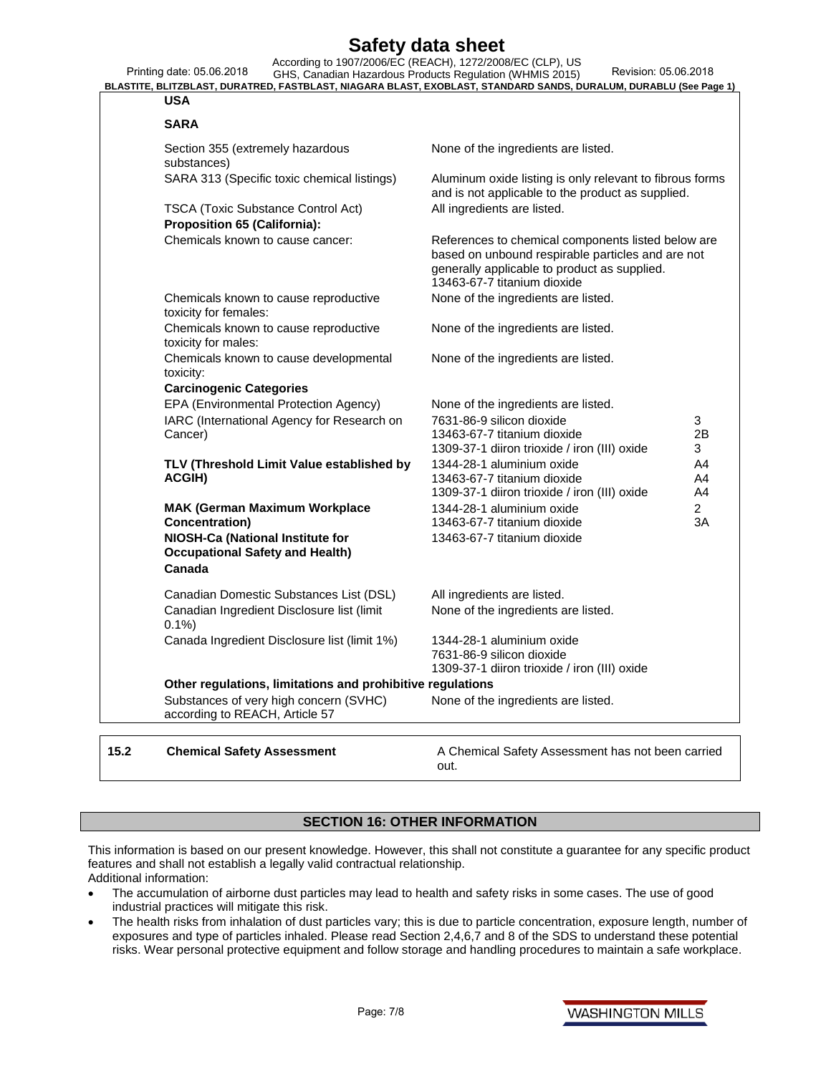|                                                                                  | Printing date: 05.06.2018                                                  | According to 1907/2006/EC (REACH), 1272/2008/EC (CLP), US<br>Revision: 05.06.2018<br>GHS, Canadian Hazardous Products Regulation (WHMIS 2015)<br>BLASTITE, BLITZBLAST, DURATRED, FASTBLAST, NIAGARA BLAST, EXOBLAST, STANDARD SANDS, DURALUM, DURABLU (See Page 1) |
|----------------------------------------------------------------------------------|----------------------------------------------------------------------------|--------------------------------------------------------------------------------------------------------------------------------------------------------------------------------------------------------------------------------------------------------------------|
|                                                                                  | USA                                                                        |                                                                                                                                                                                                                                                                    |
|                                                                                  | <b>SARA</b>                                                                |                                                                                                                                                                                                                                                                    |
| Section 355 (extremely hazardous<br>substances)                                  |                                                                            | None of the ingredients are listed.                                                                                                                                                                                                                                |
|                                                                                  | SARA 313 (Specific toxic chemical listings)                                | Aluminum oxide listing is only relevant to fibrous forms<br>and is not applicable to the product as supplied.                                                                                                                                                      |
| <b>TSCA (Toxic Substance Control Act)</b><br><b>Proposition 65 (California):</b> |                                                                            | All ingredients are listed.                                                                                                                                                                                                                                        |
|                                                                                  | Chemicals known to cause cancer:                                           | References to chemical components listed below are<br>based on unbound respirable particles and are not<br>generally applicable to product as supplied.<br>13463-67-7 titanium dioxide                                                                             |
|                                                                                  | Chemicals known to cause reproductive<br>toxicity for females:             | None of the ingredients are listed.                                                                                                                                                                                                                                |
|                                                                                  | Chemicals known to cause reproductive<br>toxicity for males:               | None of the ingredients are listed.                                                                                                                                                                                                                                |
|                                                                                  | Chemicals known to cause developmental<br>toxicity:                        | None of the ingredients are listed.                                                                                                                                                                                                                                |
|                                                                                  | <b>Carcinogenic Categories</b>                                             |                                                                                                                                                                                                                                                                    |
|                                                                                  | EPA (Environmental Protection Agency)                                      | None of the ingredients are listed.                                                                                                                                                                                                                                |
|                                                                                  | IARC (International Agency for Research on                                 | 7631-86-9 silicon dioxide<br>3                                                                                                                                                                                                                                     |
|                                                                                  | Cancer)                                                                    | 2B<br>13463-67-7 titanium dioxide<br>1309-37-1 diiron trioxide / iron (III) oxide<br>3                                                                                                                                                                             |
|                                                                                  | TLV (Threshold Limit Value established by                                  | A4                                                                                                                                                                                                                                                                 |
|                                                                                  | ACGIH)                                                                     | 1344-28-1 aluminium oxide<br>13463-67-7 titanium dioxide<br>A4                                                                                                                                                                                                     |
|                                                                                  |                                                                            | 1309-37-1 diiron trioxide / iron (III) oxide<br>A4                                                                                                                                                                                                                 |
|                                                                                  | <b>MAK (German Maximum Workplace</b>                                       | $\overline{2}$<br>1344-28-1 aluminium oxide                                                                                                                                                                                                                        |
|                                                                                  | Concentration)                                                             | 13463-67-7 titanium dioxide<br>ЗΑ                                                                                                                                                                                                                                  |
|                                                                                  | NIOSH-Ca (National Institute for<br><b>Occupational Safety and Health)</b> | 13463-67-7 titanium dioxide                                                                                                                                                                                                                                        |
|                                                                                  | Canada                                                                     |                                                                                                                                                                                                                                                                    |
|                                                                                  | Canadian Domestic Substances List (DSL)                                    | All ingredients are listed.                                                                                                                                                                                                                                        |
|                                                                                  | Canadian Ingredient Disclosure list (limit<br>0.1%                         | None of the ingredients are listed.                                                                                                                                                                                                                                |
|                                                                                  | Canada Ingredient Disclosure list (limit 1%)                               | 1344-28-1 aluminium oxide<br>7631-86-9 silicon dioxide<br>1309-37-1 diiron trioxide / iron (III) oxide                                                                                                                                                             |
|                                                                                  | Other regulations, limitations and prohibitive regulations                 |                                                                                                                                                                                                                                                                    |
|                                                                                  | Substances of very high concern (SVHC)<br>according to REACH, Article 57   | None of the ingredients are listed.                                                                                                                                                                                                                                |
|                                                                                  |                                                                            |                                                                                                                                                                                                                                                                    |
|                                                                                  |                                                                            |                                                                                                                                                                                                                                                                    |

**15.2** Chemical Safety Assessment **A Chemical Safety Assessment has not been carried** out.

#### **SECTION 16: OTHER INFORMATION**

This information is based on our present knowledge. However, this shall not constitute a guarantee for any specific product features and shall not establish a legally valid contractual relationship. Additional information:

- The accumulation of airborne dust particles may lead to health and safety risks in some cases. The use of good industrial practices will mitigate this risk.
- The health risks from inhalation of dust particles vary; this is due to particle concentration, exposure length, number of exposures and type of particles inhaled. Please read Section 2,4,6,7 and 8 of the SDS to understand these potential risks. Wear personal protective equipment and follow storage and handling procedures to maintain a safe workplace.